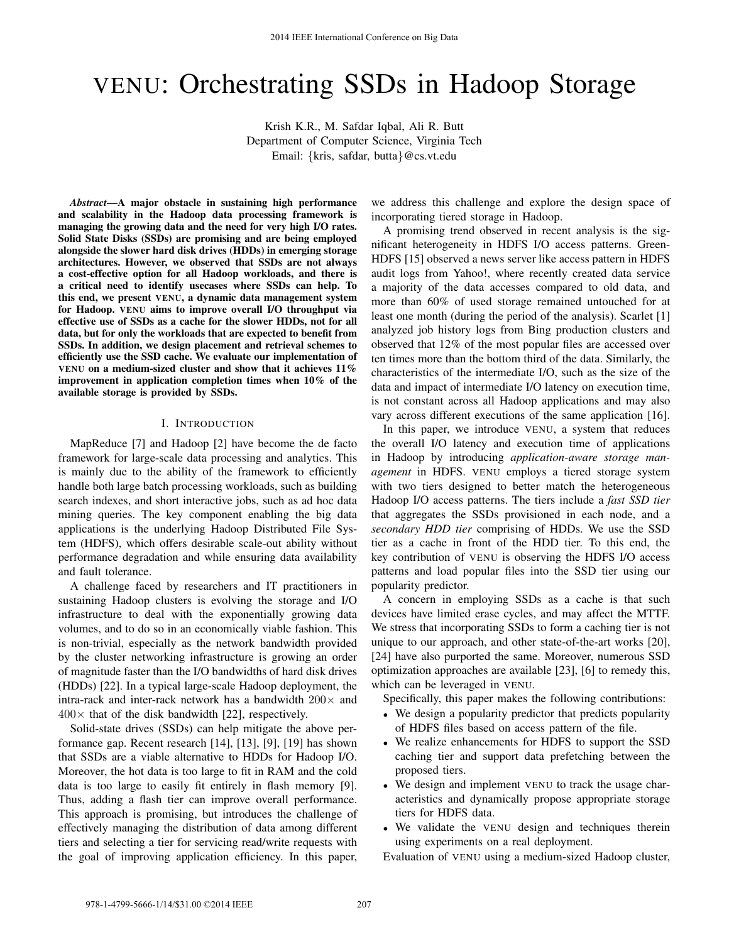# VENU: Orchestrating SSDs in Hadoop Storage

Krish K.R., M. Safdar Iqbal, Ali R. Butt Department of Computer Science, Virginia Tech Email: {kris, safdar, butta}@cs.vt.edu

*Abstract*—A major obstacle in sustaining high performance and scalability in the Hadoop data processing framework is managing the growing data and the need for very high I/O rates. Solid State Disks (SSDs) are promising and are being employed alongside the slower hard disk drives (HDDs) in emerging storage architectures. However, we observed that SSDs are not always a cost-effective option for all Hadoop workloads, and there is a critical need to identify usecases where SSDs can help. To this end, we present VENU, a dynamic data management system for Hadoop. VENU aims to improve overall I/O throughput via effective use of SSDs as a cache for the slower HDDs, not for all data, but for only the workloads that are expected to benefit from SSDs. In addition, we design placement and retrieval schemes to efficiently use the SSD cache. We evaluate our implementation of VENU on a medium-sized cluster and show that it achieves 11% improvement in application completion times when 10% of the available storage is provided by SSDs.

### I. INTRODUCTION

MapReduce [7] and Hadoop [2] have become the de facto framework for large-scale data processing and analytics. This is mainly due to the ability of the framework to efficiently handle both large batch processing workloads, such as building search indexes, and short interactive jobs, such as ad hoc data mining queries. The key component enabling the big data applications is the underlying Hadoop Distributed File System (HDFS), which offers desirable scale-out ability without performance degradation and while ensuring data availability and fault tolerance.

A challenge faced by researchers and IT practitioners in sustaining Hadoop clusters is evolving the storage and I/O infrastructure to deal with the exponentially growing data volumes, and to do so in an economically viable fashion. This is non-trivial, especially as the network bandwidth provided by the cluster networking infrastructure is growing an order of magnitude faster than the I/O bandwidths of hard disk drives (HDDs) [22]. In a typical large-scale Hadoop deployment, the intra-rack and inter-rack network has a bandwidth  $200\times$  and  $400\times$  that of the disk bandwidth [22], respectively.

Solid-state drives (SSDs) can help mitigate the above performance gap. Recent research [14], [13], [9], [19] has shown that SSDs are a viable alternative to HDDs for Hadoop I/O. Moreover, the hot data is too large to fit in RAM and the cold data is too large to easily fit entirely in flash memory [9]. Thus, adding a flash tier can improve overall performance. This approach is promising, but introduces the challenge of effectively managing the distribution of data among different tiers and selecting a tier for servicing read/write requests with the goal of improving application efficiency. In this paper,

we address this challenge and explore the design space of incorporating tiered storage in Hadoop.

A promising trend observed in recent analysis is the significant heterogeneity in HDFS I/O access patterns. Green-HDFS [15] observed a news server like access pattern in HDFS audit logs from Yahoo!, where recently created data service a majority of the data accesses compared to old data, and more than 60% of used storage remained untouched for at least one month (during the period of the analysis). Scarlet [1] analyzed job history logs from Bing production clusters and observed that 12% of the most popular files are accessed over ten times more than the bottom third of the data. Similarly, the characteristics of the intermediate I/O, such as the size of the data and impact of intermediate I/O latency on execution time, is not constant across all Hadoop applications and may also vary across different executions of the same application [16].

In this paper, we introduce VENU, a system that reduces the overall I/O latency and execution time of applications in Hadoop by introducing *application-aware storage management* in HDFS. VENU employs a tiered storage system with two tiers designed to better match the heterogeneous Hadoop I/O access patterns. The tiers include a *fast SSD tier* that aggregates the SSDs provisioned in each node, and a *secondary HDD tier* comprising of HDDs. We use the SSD tier as a cache in front of the HDD tier. To this end, the key contribution of VENU is observing the HDFS I/O access patterns and load popular files into the SSD tier using our popularity predictor.

A concern in employing SSDs as a cache is that such devices have limited erase cycles, and may affect the MTTF. We stress that incorporating SSDs to form a caching tier is not unique to our approach, and other state-of-the-art works [20], [24] have also purported the same. Moreover, numerous SSD optimization approaches are available [23], [6] to remedy this, which can be leveraged in VENU.

Specifically, this paper makes the following contributions:

- We design a popularity predictor that predicts popularity of HDFS files based on access pattern of the file.
- We realize enhancements for HDFS to support the SSD caching tier and support data prefetching between the proposed tiers.
- We design and implement VENU to track the usage characteristics and dynamically propose appropriate storage tiers for HDFS data.
- We validate the VENU design and techniques therein using experiments on a real deployment.

Evaluation of VENU using a medium-sized Hadoop cluster,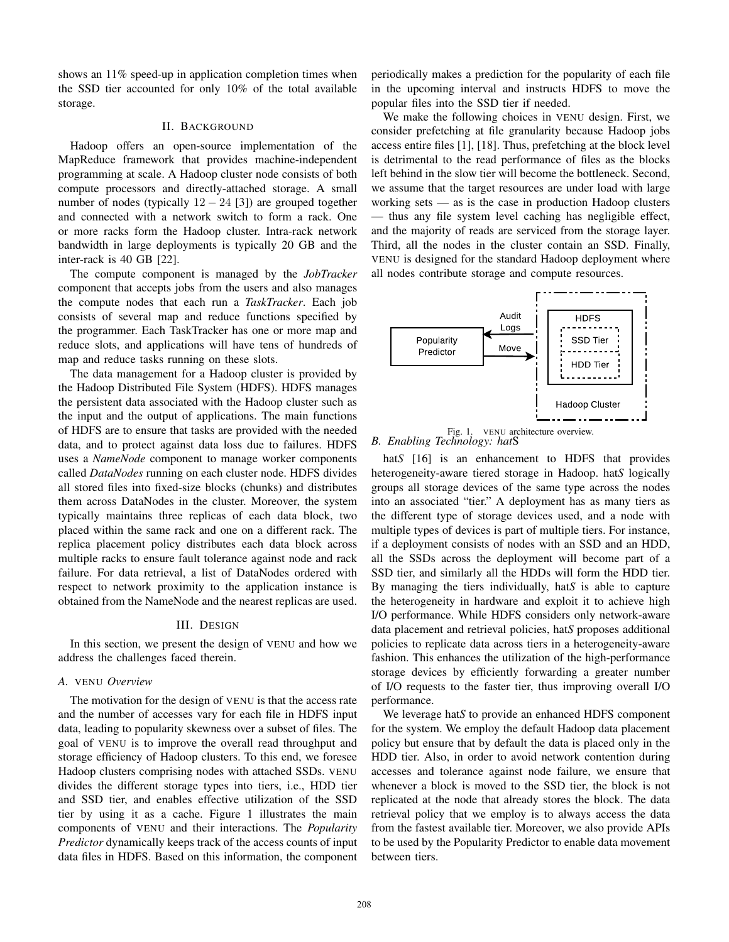shows an 11% speed-up in application completion times when the SSD tier accounted for only 10% of the total available storage.

#### II. BACKGROUND

Hadoop offers an open-source implementation of the MapReduce framework that provides machine-independent programming at scale. A Hadoop cluster node consists of both compute processors and directly-attached storage. A small number of nodes (typically  $12 - 24$  [3]) are grouped together and connected with a network switch to form a rack. One or more racks form the Hadoop cluster. Intra-rack network bandwidth in large deployments is typically 20 GB and the inter-rack is 40 GB [22].

The compute component is managed by the *JobTracker* component that accepts jobs from the users and also manages the compute nodes that each run a *TaskTracker*. Each job consists of several map and reduce functions specified by the programmer. Each TaskTracker has one or more map and reduce slots, and applications will have tens of hundreds of map and reduce tasks running on these slots.

The data management for a Hadoop cluster is provided by the Hadoop Distributed File System (HDFS). HDFS manages the persistent data associated with the Hadoop cluster such as the input and the output of applications. The main functions of HDFS are to ensure that tasks are provided with the needed data, and to protect against data loss due to failures. HDFS uses a *NameNode* component to manage worker components called *DataNodes* running on each cluster node. HDFS divides all stored files into fixed-size blocks (chunks) and distributes them across DataNodes in the cluster. Moreover, the system typically maintains three replicas of each data block, two placed within the same rack and one on a different rack. The replica placement policy distributes each data block across multiple racks to ensure fault tolerance against node and rack failure. For data retrieval, a list of DataNodes ordered with respect to network proximity to the application instance is obtained from the NameNode and the nearest replicas are used.

# III. DESIGN

In this section, we present the design of VENU and how we address the challenges faced therein.

# *A.* VENU *Overview*

The motivation for the design of VENU is that the access rate and the number of accesses vary for each file in HDFS input data, leading to popularity skewness over a subset of files. The goal of VENU is to improve the overall read throughput and storage efficiency of Hadoop clusters. To this end, we foresee Hadoop clusters comprising nodes with attached SSDs. VENU divides the different storage types into tiers, i.e., HDD tier and SSD tier, and enables effective utilization of the SSD tier by using it as a cache. Figure 1 illustrates the main components of VENU and their interactions. The *Popularity Predictor* dynamically keeps track of the access counts of input data files in HDFS. Based on this information, the component

periodically makes a prediction for the popularity of each file in the upcoming interval and instructs HDFS to move the popular files into the SSD tier if needed.

We make the following choices in VENU design. First, we consider prefetching at file granularity because Hadoop jobs access entire files [1], [18]. Thus, prefetching at the block level is detrimental to the read performance of files as the blocks left behind in the slow tier will become the bottleneck. Second, we assume that the target resources are under load with large working sets — as is the case in production Hadoop clusters — thus any file system level caching has negligible effect, and the majority of reads are serviced from the storage layer. Third, all the nodes in the cluster contain an SSD. Finally, VENU is designed for the standard Hadoop deployment where all nodes contribute storage and compute resources.





hat<sub>S</sub> [16] is an enhancement to HDFS that provides heterogeneity-aware tiered storage in Hadoop. hat*S* logically groups all storage devices of the same type across the nodes into an associated "tier." A deployment has as many tiers as the different type of storage devices used, and a node with multiple types of devices is part of multiple tiers. For instance, if a deployment consists of nodes with an SSD and an HDD, all the SSDs across the deployment will become part of a SSD tier, and similarly all the HDDs will form the HDD tier. By managing the tiers individually, hat*S* is able to capture the heterogeneity in hardware and exploit it to achieve high I/O performance. While HDFS considers only network-aware data placement and retrieval policies, hat*S* proposes additional policies to replicate data across tiers in a heterogeneity-aware fashion. This enhances the utilization of the high-performance storage devices by efficiently forwarding a greater number of I/O requests to the faster tier, thus improving overall I/O performance.

We leverage hat*S* to provide an enhanced HDFS component for the system. We employ the default Hadoop data placement policy but ensure that by default the data is placed only in the HDD tier. Also, in order to avoid network contention during accesses and tolerance against node failure, we ensure that whenever a block is moved to the SSD tier, the block is not replicated at the node that already stores the block. The data retrieval policy that we employ is to always access the data from the fastest available tier. Moreover, we also provide APIs to be used by the Popularity Predictor to enable data movement between tiers.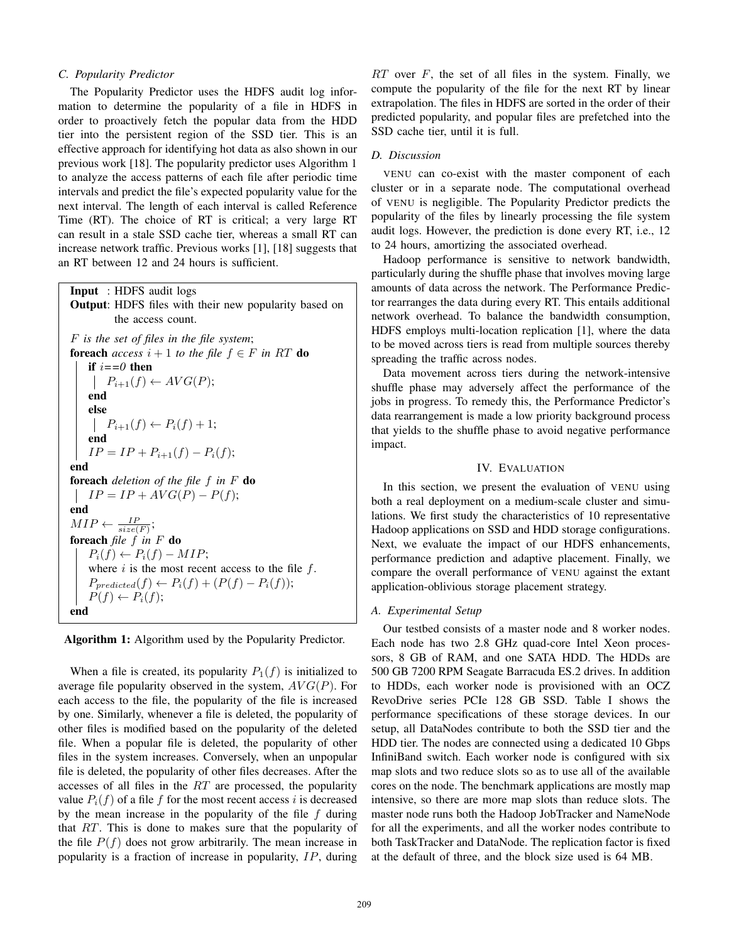#### *C. Popularity Predictor*

The Popularity Predictor uses the HDFS audit log information to determine the popularity of a file in HDFS in order to proactively fetch the popular data from the HDD tier into the persistent region of the SSD tier. This is an effective approach for identifying hot data as also shown in our previous work [18]. The popularity predictor uses Algorithm 1 to analyze the access patterns of each file after periodic time intervals and predict the file's expected popularity value for the next interval. The length of each interval is called Reference Time (RT). The choice of RT is critical; a very large RT can result in a stale SSD cache tier, whereas a small RT can increase network traffic. Previous works [1], [18] suggests that an RT between 12 and 24 hours is sufficient.

# Input : HDFS audit logs Output: HDFS files with their new popularity based on the access count. F *is the set of files in the file system*; **foreach** *access*  $i + 1$  *to the file*  $f \in F$  *in* RT **do** if  $i == 0$  then  $P_{i+1}(f) \leftarrow AVG(P);$ end else  $P_{i+1}(f) \leftarrow P_i(f) + 1;$ end  $IP = IP + P_{i+1}(f) - P_i(f);$ end foreach *deletion of the file* f *in* F do  $IP = IP + AVG(P) - P(f);$ end  $MIP \leftarrow \frac{IP}{size(F)}$ ; foreach *file* f *in* F do  $P_i(f) \leftarrow P_i(f) - MIP;$ where  $i$  is the most recent access to the file  $f$ .  $P_{predicted}(f) \leftarrow P_i(f) + (P(f) - P_i(f));$  $P(f) \leftarrow P_i(f);$ end

Algorithm 1: Algorithm used by the Popularity Predictor.

When a file is created, its popularity  $P_1(f)$  is initialized to average file popularity observed in the system,  $AVG(P)$ . For each access to the file, the popularity of the file is increased by one. Similarly, whenever a file is deleted, the popularity of other files is modified based on the popularity of the deleted file. When a popular file is deleted, the popularity of other files in the system increases. Conversely, when an unpopular file is deleted, the popularity of other files decreases. After the accesses of all files in the RT are processed, the popularity value  $P_i(f)$  of a file f for the most recent access i is decreased by the mean increase in the popularity of the file  $f$  during that RT. This is done to makes sure that the popularity of the file  $P(f)$  does not grow arbitrarily. The mean increase in popularity is a fraction of increase in popularity, IP, during

 $RT$  over F, the set of all files in the system. Finally, we compute the popularity of the file for the next RT by linear extrapolation. The files in HDFS are sorted in the order of their predicted popularity, and popular files are prefetched into the SSD cache tier, until it is full.

# *D. Discussion*

VENU can co-exist with the master component of each cluster or in a separate node. The computational overhead of VENU is negligible. The Popularity Predictor predicts the popularity of the files by linearly processing the file system audit logs. However, the prediction is done every RT, i.e., 12 to 24 hours, amortizing the associated overhead.

Hadoop performance is sensitive to network bandwidth, particularly during the shuffle phase that involves moving large amounts of data across the network. The Performance Predictor rearranges the data during every RT. This entails additional network overhead. To balance the bandwidth consumption, HDFS employs multi-location replication [1], where the data to be moved across tiers is read from multiple sources thereby spreading the traffic across nodes.

Data movement across tiers during the network-intensive shuffle phase may adversely affect the performance of the jobs in progress. To remedy this, the Performance Predictor's data rearrangement is made a low priority background process that yields to the shuffle phase to avoid negative performance impact.

### IV. EVALUATION

In this section, we present the evaluation of VENU using both a real deployment on a medium-scale cluster and simulations. We first study the characteristics of 10 representative Hadoop applications on SSD and HDD storage configurations. Next, we evaluate the impact of our HDFS enhancements, performance prediction and adaptive placement. Finally, we compare the overall performance of VENU against the extant application-oblivious storage placement strategy.

#### *A. Experimental Setup*

Our testbed consists of a master node and 8 worker nodes. Each node has two 2.8 GHz quad-core Intel Xeon processors, 8 GB of RAM, and one SATA HDD. The HDDs are 500 GB 7200 RPM Seagate Barracuda ES.2 drives. In addition to HDDs, each worker node is provisioned with an OCZ RevoDrive series PCIe 128 GB SSD. Table I shows the performance specifications of these storage devices. In our setup, all DataNodes contribute to both the SSD tier and the HDD tier. The nodes are connected using a dedicated 10 Gbps InfiniBand switch. Each worker node is configured with six map slots and two reduce slots so as to use all of the available cores on the node. The benchmark applications are mostly map intensive, so there are more map slots than reduce slots. The master node runs both the Hadoop JobTracker and NameNode for all the experiments, and all the worker nodes contribute to both TaskTracker and DataNode. The replication factor is fixed at the default of three, and the block size used is 64 MB.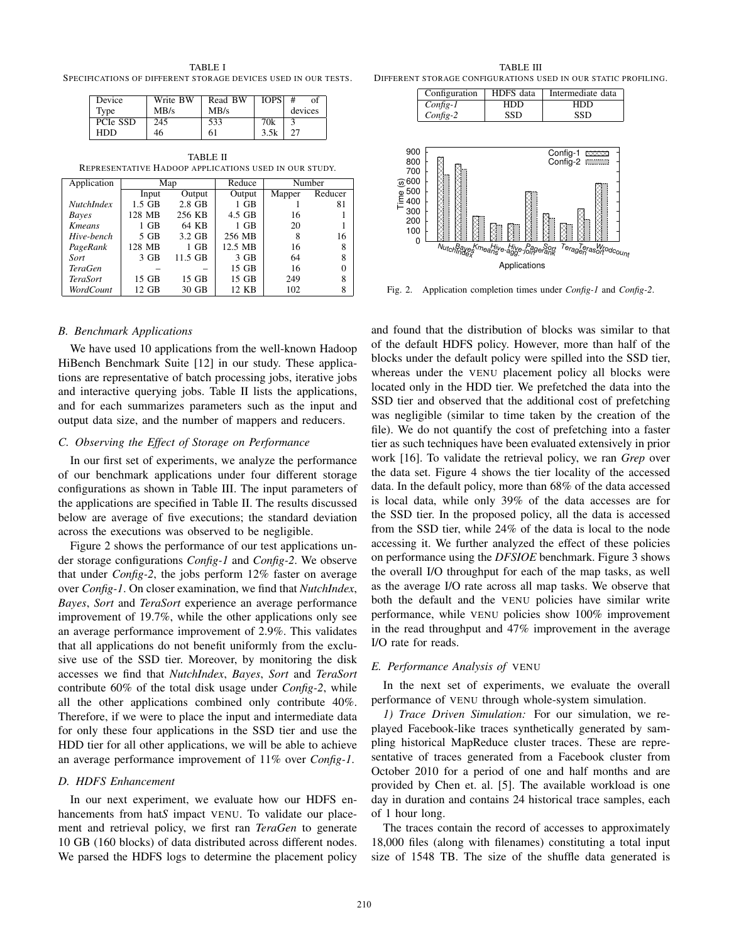TABLE I SPECIFICATIONS OF DIFFERENT STORAGE DEVICES USED IN OUR TESTS.

| Device   | Write BW | Read BW | <b>IOPS</b> |         |
|----------|----------|---------|-------------|---------|
| Tvpe     | MB/s     | MB/s    |             | devices |
| PCIe SSD | 245      | 533     | 70k         |         |
| HDD      | 46       | 61      | 3.5k        |         |

TABLE II REPRESENTATIVE HADOOP APPLICATIONS USED IN OUR STUDY.

| Application           | Map      |          | Reduce  | Number |         |
|-----------------------|----------|----------|---------|--------|---------|
|                       | Input    | Output   | Output  | Mapper | Reducer |
| <b>NutchIndex</b>     | $1.5$ GB | $2.8$ GB | $1$ GB  |        | 81      |
| Bayes                 | 128 MB   | 256 KB   | 4.5 GB  | 16     |         |
| <b>K</b> <i>means</i> | $1$ GB   | 64 KB    | 1 GB    | 20     |         |
| Hive-bench            | 5 GB     | 3.2 GB   | 256 MB  | 8      | 16      |
| PageRank              | 128 MB   | $1$ GB   | 12.5 MB | 16     | 8       |
| Sort                  | $3$ GB   | 11.5 GB  | 3 GB    | 64     |         |
| <b>TeraGen</b>        |          |          | $15$ GB | 16     |         |
| <b>TeraSort</b>       | 15 GB    | 15 GB    | 15 GB   | 249    |         |
| WordCount             | 12 GB    | 30 GB    | 12 KB   | 102    | 8       |

#### *B. Benchmark Applications*

We have used 10 applications from the well-known Hadoop HiBench Benchmark Suite [12] in our study. These applications are representative of batch processing jobs, iterative jobs and interactive querying jobs. Table II lists the applications, and for each summarizes parameters such as the input and output data size, and the number of mappers and reducers.

#### *C. Observing the Effect of Storage on Performance*

In our first set of experiments, we analyze the performance of our benchmark applications under four different storage configurations as shown in Table III. The input parameters of the applications are specified in Table II. The results discussed below are average of five executions; the standard deviation across the executions was observed to be negligible.

Figure 2 shows the performance of our test applications under storage configurations *Config-1* and *Config-2*. We observe that under *Config-2*, the jobs perform 12% faster on average over *Config-1*. On closer examination, we find that *NutchIndex*, *Bayes*, *Sort* and *TeraSort* experience an average performance improvement of 19.7%, while the other applications only see an average performance improvement of 2.9%. This validates that all applications do not benefit uniformly from the exclusive use of the SSD tier. Moreover, by monitoring the disk accesses we find that *NutchIndex*, *Bayes*, *Sort* and *TeraSort* contribute 60% of the total disk usage under *Config-2*, while all the other applications combined only contribute 40%. Therefore, if we were to place the input and intermediate data for only these four applications in the SSD tier and use the HDD tier for all other applications, we will be able to achieve an average performance improvement of 11% over *Config-1*.

#### *D. HDFS Enhancement*

In our next experiment, we evaluate how our HDFS enhancements from hat*S* impact VENU. To validate our placement and retrieval policy, we first ran *TeraGen* to generate 10 GB (160 blocks) of data distributed across different nodes. We parsed the HDFS logs to determine the placement policy

TABLE III DIFFERENT STORAGE CONFIGURATIONS USED IN OUR STATIC PROFILING.



Fig. 2. Application completion times under *Config-1* and *Config-2*.

and found that the distribution of blocks was similar to that of the default HDFS policy. However, more than half of the blocks under the default policy were spilled into the SSD tier, whereas under the VENU placement policy all blocks were located only in the HDD tier. We prefetched the data into the SSD tier and observed that the additional cost of prefetching was negligible (similar to time taken by the creation of the file). We do not quantify the cost of prefetching into a faster tier as such techniques have been evaluated extensively in prior work [16]. To validate the retrieval policy, we ran *Grep* over the data set. Figure 4 shows the tier locality of the accessed data. In the default policy, more than 68% of the data accessed is local data, while only 39% of the data accesses are for the SSD tier. In the proposed policy, all the data is accessed from the SSD tier, while 24% of the data is local to the node accessing it. We further analyzed the effect of these policies on performance using the *DFSIOE* benchmark. Figure 3 shows the overall I/O throughput for each of the map tasks, as well as the average I/O rate across all map tasks. We observe that both the default and the VENU policies have similar write performance, while VENU policies show 100% improvement in the read throughput and 47% improvement in the average I/O rate for reads.

# *E. Performance Analysis of* VENU

In the next set of experiments, we evaluate the overall performance of VENU through whole-system simulation.

*1) Trace Driven Simulation:* For our simulation, we replayed Facebook-like traces synthetically generated by sampling historical MapReduce cluster traces. These are representative of traces generated from a Facebook cluster from October 2010 for a period of one and half months and are provided by Chen et. al. [5]. The available workload is one day in duration and contains 24 historical trace samples, each of 1 hour long.

The traces contain the record of accesses to approximately 18,000 files (along with filenames) constituting a total input size of 1548 TB. The size of the shuffle data generated is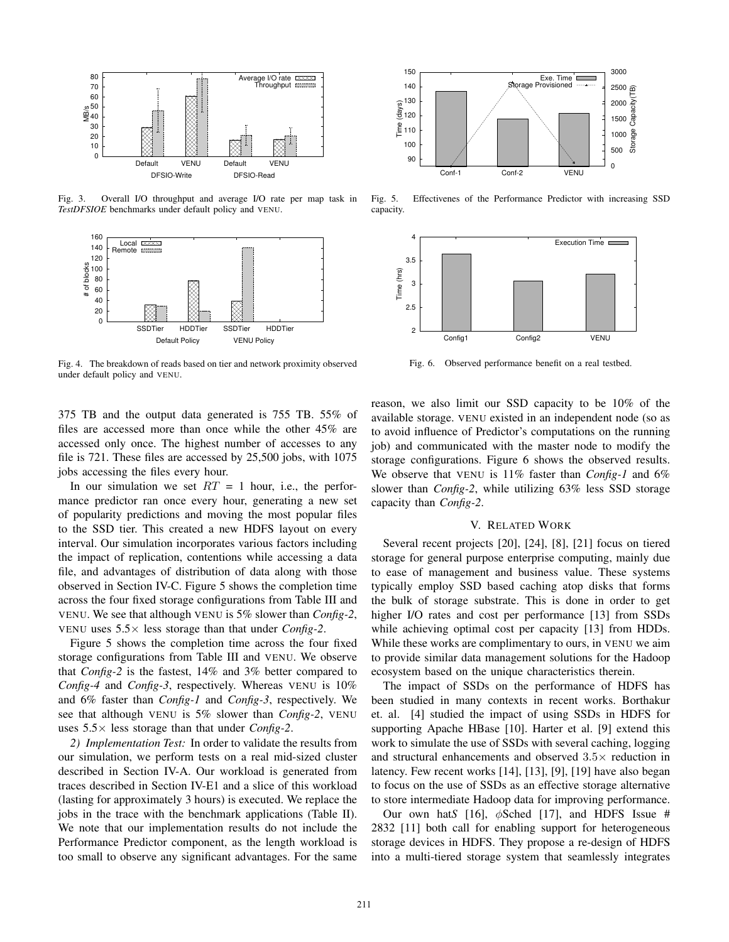

Fig. 3. Overall I/O throughput and average I/O rate per map task in *TestDFSIOE* benchmarks under default policy and VENU.



Fig. 4. The breakdown of reads based on tier and network proximity observed under default policy and VENU.

375 TB and the output data generated is 755 TB. 55% of files are accessed more than once while the other 45% are accessed only once. The highest number of accesses to any file is 721. These files are accessed by 25,500 jobs, with 1075 jobs accessing the files every hour.

In our simulation we set  $RT = 1$  hour, i.e., the performance predictor ran once every hour, generating a new set of popularity predictions and moving the most popular files to the SSD tier. This created a new HDFS layout on every interval. Our simulation incorporates various factors including the impact of replication, contentions while accessing a data file, and advantages of distribution of data along with those observed in Section IV-C. Figure 5 shows the completion time across the four fixed storage configurations from Table III and VENU. We see that although VENU is 5% slower than *Config-2*, VENU uses  $5.5 \times$  less storage than that under *Config-2*.

Figure 5 shows the completion time across the four fixed storage configurations from Table III and VENU. We observe that *Config-2* is the fastest, 14% and 3% better compared to *Config-4* and *Config-3*, respectively. Whereas VENU is 10% and 6% faster than *Config-1* and *Config-3*, respectively. We see that although VENU is 5% slower than *Config-2*, VENU uses 5.5× less storage than that under *Config-2*.

*2) Implementation Test:* In order to validate the results from our simulation, we perform tests on a real mid-sized cluster described in Section IV-A. Our workload is generated from traces described in Section IV-E1 and a slice of this workload (lasting for approximately 3 hours) is executed. We replace the jobs in the trace with the benchmark applications (Table II). We note that our implementation results do not include the Performance Predictor component, as the length workload is too small to observe any significant advantages. For the same



Fig. 5. Effectivenes of the Performance Predictor with increasing SSD capacity.



Fig. 6. Observed performance benefit on a real testbed.

reason, we also limit our SSD capacity to be 10% of the available storage. VENU existed in an independent node (so as to avoid influence of Predictor's computations on the running job) and communicated with the master node to modify the storage configurations. Figure 6 shows the observed results. We observe that VENU is 11% faster than *Config-1* and 6% slower than *Config-2*, while utilizing 63% less SSD storage capacity than *Config-2*.

#### V. RELATED WORK

Several recent projects [20], [24], [8], [21] focus on tiered storage for general purpose enterprise computing, mainly due to ease of management and business value. These systems typically employ SSD based caching atop disks that forms the bulk of storage substrate. This is done in order to get higher I/O rates and cost per performance [13] from SSDs while achieving optimal cost per capacity [13] from HDDs. While these works are complimentary to ours, in VENU we aim to provide similar data management solutions for the Hadoop ecosystem based on the unique characteristics therein.

The impact of SSDs on the performance of HDFS has been studied in many contexts in recent works. Borthakur et. al. [4] studied the impact of using SSDs in HDFS for supporting Apache HBase [10]. Harter et al. [9] extend this work to simulate the use of SSDs with several caching, logging and structural enhancements and observed  $3.5\times$  reduction in latency. Few recent works [14], [13], [9], [19] have also began to focus on the use of SSDs as an effective storage alternative to store intermediate Hadoop data for improving performance.

Our own hat*S* [16], φSched [17], and HDFS Issue # 2832 [11] both call for enabling support for heterogeneous storage devices in HDFS. They propose a re-design of HDFS into a multi-tiered storage system that seamlessly integrates